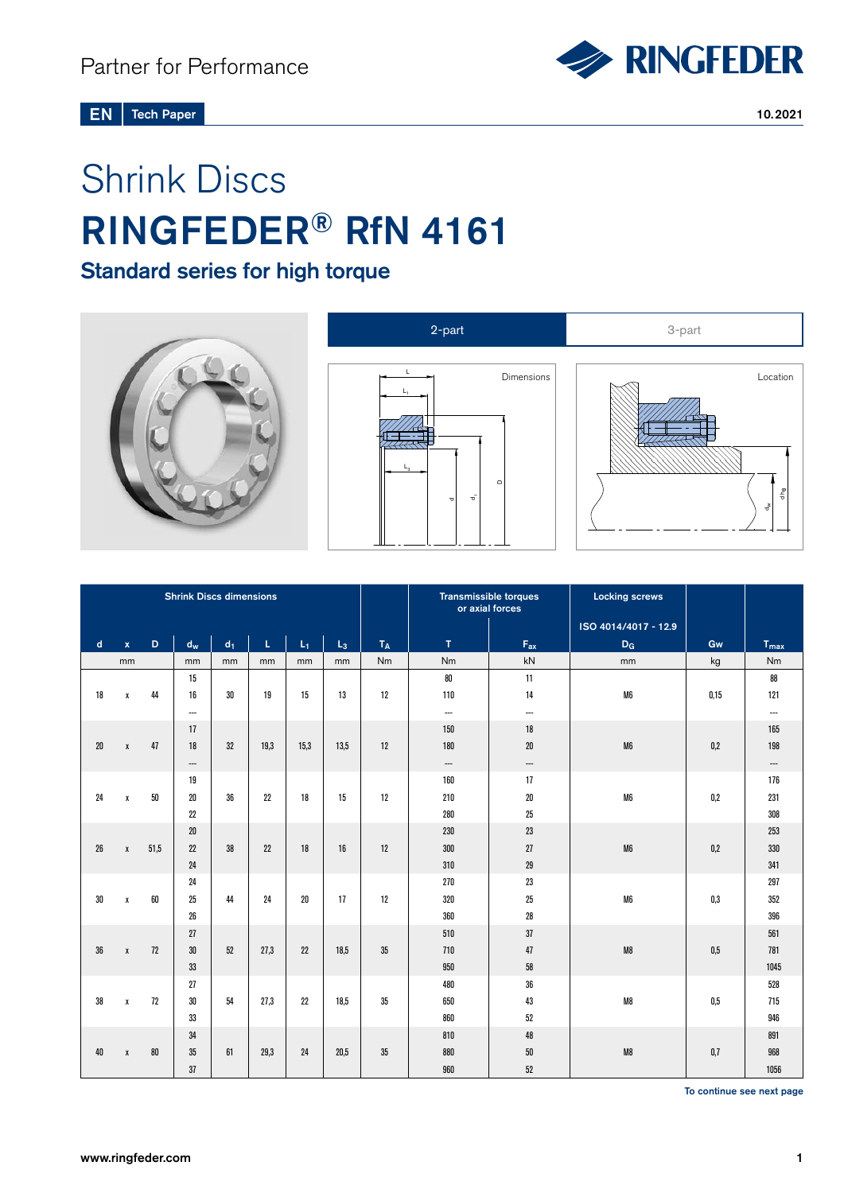

#### Tech Paper 10.2021 EN

# Shrink Discs RINGFEDER® RfN 4161

# Standard series for high torque







| <b>Shrink Discs dimensions</b> |              |      |                          |       |      |        |       |       | <b>Transmissible torques</b><br>or axial forces |                          | <b>Locking screws</b> |         |                          |
|--------------------------------|--------------|------|--------------------------|-------|------|--------|-------|-------|-------------------------------------------------|--------------------------|-----------------------|---------|--------------------------|
|                                |              |      |                          |       |      |        |       |       |                                                 |                          | ISO 4014/4017 - 12.9  |         |                          |
| $\mathbf d$                    | $\mathbf{x}$ | D.   | $d_{\rm w}$              | $d_1$ | L.   | $L_1$  | $L_3$ | $T_A$ | $\mathbf{T}$                                    | $F_{ax}$                 | $D_G$                 | Gw      | $T_{max}$                |
|                                | mm           |      | mm                       | mm    | mm   | mm     | mm    | Nm    | Nm                                              | kN                       | mm                    | kg      | Nm                       |
|                                |              |      | 15                       |       |      |        |       |       | 80                                              | 11                       |                       |         | 88                       |
| 18                             | $\pmb{\chi}$ | 44   | 16                       | 30    | 19   | 15     | 13    | 12    | 110                                             | 14                       | M6                    | 0,15    | 121                      |
|                                |              |      | $\overline{\phantom{a}}$ |       |      |        |       |       | $\overline{\phantom{a}}$                        | $\hspace{0.05cm} \ldots$ |                       |         | $\overline{\phantom{a}}$ |
|                                |              |      | 17                       |       |      |        |       |       | 150                                             | 18                       |                       |         | 165                      |
| 20                             | $\pmb{\chi}$ | 47   | 18                       | 32    | 19,3 | 15,3   | 13,5  | 12    | 180                                             | $20\,$                   | M6                    | 0,2     | 198                      |
|                                |              |      | ---                      |       |      |        |       |       | $\hspace{0.05cm} \ldots$                        | $\hspace{0.05cm} \cdots$ |                       |         | $\hspace{0.05cm} \cdots$ |
|                                |              |      | 19                       |       |      |        |       |       | 160                                             | 17                       |                       |         | 176                      |
| 24                             | $\pmb{\chi}$ | 50   | 20                       | 36    | 22   | 18     | 15    | 12    | 210                                             | $20\,$                   | M6                    | 0,2     | 231                      |
|                                |              |      | 22                       |       |      |        |       |       | 280                                             | 25                       |                       |         | 308                      |
|                                |              |      | 20                       |       |      |        |       |       | 230                                             | 23                       |                       |         | 253                      |
| 26                             | X            | 51,5 | 22                       | 38    | 22   | 18     | 16    | 12    | 300                                             | 27                       | M6                    | 0,2     | 330                      |
|                                |              |      | 24                       |       |      |        |       |       | 310                                             | 29                       |                       |         | 341                      |
|                                |              |      | 24                       |       |      |        |       |       | 270                                             | 23                       |                       |         | 297                      |
| $30\,$                         | χ            | 60   | 25                       | 44    | 24   | $20\,$ | 17    | 12    | 320                                             | 25                       | M6                    | 0,3     | 352                      |
|                                |              |      | 26                       |       |      |        |       |       | 360                                             | 28                       |                       |         | 396                      |
|                                |              |      | 27                       |       |      |        |       |       | 510                                             | 37                       |                       |         | 561                      |
| 36                             | $\pmb{\chi}$ | 72   | 30                       | 52    | 27,3 | 22     | 18,5  | 35    | 710                                             | 47                       | M8                    | $0,\!5$ | 781                      |
|                                |              |      | 33                       |       |      |        |       |       | 950                                             | 58                       |                       |         | 1045                     |
|                                |              |      | 27                       |       |      |        |       |       | 480                                             | 36                       |                       |         | 528                      |
| 38                             | χ            | 72   | 30                       | 54    | 27,3 | 22     | 18.5  | 35    | 650                                             | 43                       | M8                    | 0,5     | 715                      |
|                                |              |      | 33                       |       |      |        |       |       | 860                                             | 52                       |                       |         | 946                      |
|                                |              |      | 34                       |       |      |        |       |       | 810                                             | 48                       |                       |         | 891                      |
| 40                             | $\pmb{\chi}$ | 80   | 35                       | 61    | 29.3 | 24     | 20.5  | 35    | 880                                             | 50                       | M8                    | 0,7     | 968                      |
|                                |              |      | 37                       |       |      |        |       |       | 960                                             | $52\,$                   |                       |         | 1056                     |

To continue see next page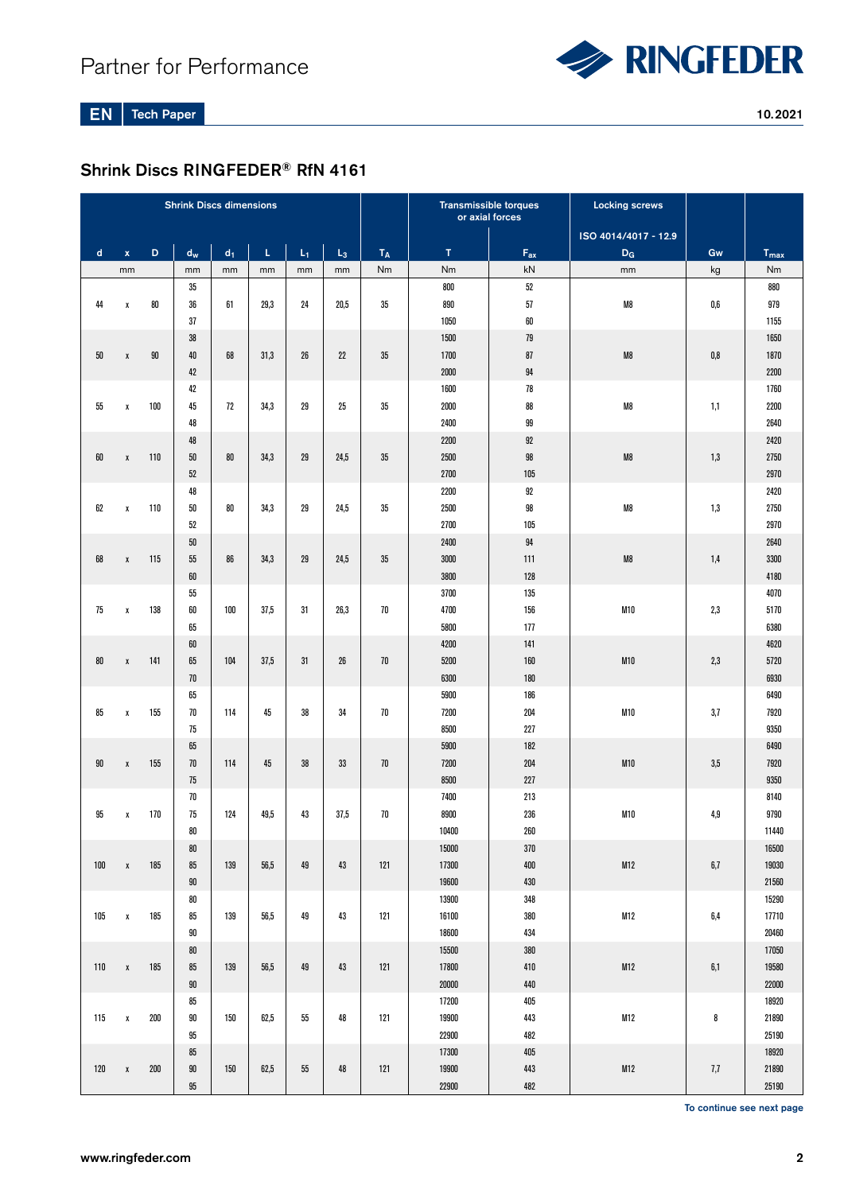

EN Tech Paper 10.2021

# Shrink Discs RINGFEDER® RfN 4161

|             |                    |     | <b>Shrink Discs dimensions</b> |       |      |       |       |                         |              | <b>Transmissible torques</b><br>or axial forces | <b>Locking screws</b> |         |                |
|-------------|--------------------|-----|--------------------------------|-------|------|-------|-------|-------------------------|--------------|-------------------------------------------------|-----------------------|---------|----------------|
|             |                    |     |                                |       |      |       |       |                         |              |                                                 | ISO 4014/4017 - 12.9  |         |                |
| $\mathbf d$ | $\bar{\mathbf{x}}$ | D   | $\mathbf{d}_{\mathbf{w}}$      | $d_1$ | Ĺ.   | $L_1$ | $L_3$ | $\mathsf{T}_\mathsf{A}$ | T            | $F_{ax}$                                        | $D_G$                 | Gw      | $T_{max}$      |
|             | mm                 |     | mm                             | mm    | mm   | mm    | mm    | Nm                      | Nm           | kN                                              | mm                    | kg      | Nm             |
|             |                    |     | 35                             |       |      |       |       |                         | 800          | $52\,$                                          |                       |         | 880            |
| 44          | X                  | 80  | 36                             | 61    | 29,3 | 24    | 20,5  | 35                      | 890          | 57                                              | M8                    | 0,6     | 979            |
|             |                    |     | 37                             |       |      |       |       |                         | 1050         | 60                                              |                       |         | 1155           |
|             |                    |     | 38                             |       |      |       |       |                         | 1500         | 79                                              |                       |         | 1650           |
| 50          | $\pmb{\chi}$       | 90  | 40                             | 68    | 31,3 | 26    | 22    | 35                      | 1700         | 87                                              | M8                    | 0,8     | 1870           |
|             |                    |     | 42                             |       |      |       |       |                         | 2000         | 94                                              |                       |         | 2200           |
|             |                    |     | 42                             |       |      |       |       |                         | 1600         | 78                                              |                       |         | 1760           |
| 55          | X                  | 100 | 45                             | 72    | 34,3 | 29    | 25    | 35                      | 2000         | 88                                              | M8                    | 1,1     | 2200           |
|             |                    |     | 48                             |       |      |       |       |                         | 2400         | 99                                              |                       |         | 2640           |
|             |                    |     | 48                             |       |      |       |       |                         | 2200         | 92                                              |                       |         | 2420           |
| 60          | $\pmb{\chi}$       | 110 | $50\,$                         | 80    | 34,3 | 29    | 24,5  | 35                      | 2500         | 98                                              | M8                    | 1,3     | 2750           |
|             |                    |     | 52                             |       |      |       |       |                         | 2700         | 105                                             |                       |         | 2970           |
|             |                    |     | 48                             |       |      |       |       |                         | 2200         | 92                                              |                       |         | 2420           |
| 62          | X                  | 110 | 50                             | 80    | 34,3 | 29    | 24,5  | 35                      | 2500         | 98                                              | M8                    | 1,3     | 2750           |
|             |                    |     | 52                             |       |      |       |       |                         | 2700         | 105                                             |                       |         | 2970           |
|             |                    |     | $50\,$                         |       |      |       |       |                         | 2400         | 94                                              |                       |         | 2640           |
| 68          | $\pmb{\chi}$       | 115 | 55                             | 86    | 34,3 | 29    | 24,5  | 35                      | 3000         | 111                                             | M8                    | 1,4     | 3300           |
|             |                    |     | 60                             |       |      |       |       |                         | 3800         | 128                                             |                       |         | 4180           |
|             |                    |     | 55                             |       |      |       |       |                         | 3700         | 135                                             |                       |         | 4070           |
| 75          | X                  | 138 | 60                             | 100   | 37,5 | 31    | 26,3  | $70\,$                  | 4700         | 156                                             | M10                   | 2,3     | 5170           |
|             |                    |     | 65                             |       |      |       |       |                         | 5800         | 177                                             |                       |         | 6380           |
|             |                    |     | 60                             |       |      |       |       |                         | 4200         | 141                                             |                       |         | 4620           |
| 80          | χ                  | 141 | 65                             | 104   | 37,5 | 31    | 26    | 70                      | 5200         | 160                                             | M10                   | 2,3     | 5720           |
|             |                    |     | 70                             |       |      |       |       |                         | 6300         | 180                                             |                       |         | 6930           |
|             |                    |     | 65                             |       |      |       |       |                         | 5900         | 186                                             |                       |         | 6490           |
| 85          | χ                  | 155 | 70                             | 114   | 45   | 38    | 34    | 70                      | 7200         | 204                                             | M10                   | 3,7     | 7920           |
|             |                    |     | 75                             |       |      |       |       |                         | 8500         | 227                                             |                       |         | 9350           |
|             |                    |     | 65                             |       |      |       |       |                         | 5900         | 182                                             |                       |         | 6490           |
| 90          | $\pmb{\chi}$       | 155 | 70                             | 114   | 45   | 38    | 33    | 70                      | 7200         | 204                                             | M10                   | 3,5     | 7920           |
|             |                    |     | 75<br>70                       |       |      |       |       |                         | 8500<br>7400 | 227<br>213                                      |                       |         | 9350<br>8140   |
| 95          |                    | 170 | 75                             | 124   | 49,5 | 43    | 37,5  | $70\,$                  | 8900         | 236                                             | M10                   | 4,9     | 9790           |
|             | χ                  |     | 80                             |       |      |       |       |                         | 10400        | 260                                             |                       |         |                |
|             |                    |     | 80                             |       |      |       |       |                         | 15000        | $370\,$                                         |                       |         | 11440<br>16500 |
| 100         | $\pmb{\chi}$       | 185 | 85                             | 139   | 56,5 | 49    | 43    | 121                     | 17300        | $400\,$                                         | M12                   | $6,\!7$ | 19030          |
|             |                    |     | $90\,$                         |       |      |       |       |                         | 19600        | 430                                             |                       |         | 21560          |
|             |                    |     | ${\bf 80}$                     |       |      |       |       |                         | 13900        | 348                                             |                       |         | 15290          |
| 105         | $\pmb{\chi}$       | 185 | 85                             | 139   | 56,5 | 49    | 43    | 121                     | 16100        | 380                                             | M12                   | $6,\!4$ | 17710          |
|             |                    |     | $90\,$                         |       |      |       |       |                         | 18600        | 434                                             |                       |         | 20460          |
|             |                    |     | ${\bf 80}$                     |       |      |       |       |                         | 15500        | $380\,$                                         |                       |         | 17050          |
| 110         | $\pmb{\chi}$       | 185 | 85                             | 139   | 56,5 | 49    | 43    | 121                     | 17800        | 410                                             | M12                   | 6,1     | 19580          |
|             |                    |     | $90\,$                         |       |      |       |       |                         | $20000\,$    | 440                                             |                       |         | 22000          |
|             |                    |     | 85                             |       |      |       |       |                         | 17200        | 405                                             |                       |         | 18920          |
| 115         | $\pmb{\chi}$       | 200 | $90\,$                         | 150   | 62,5 | 55    | 48    | 121                     | 19900        | 443                                             | M12                   | 8       | 21890          |
|             |                    |     | 95                             |       |      |       |       |                         | 22900        | 482                                             |                       |         | 25190          |
|             |                    |     | 85                             |       |      |       |       |                         | 17300        | 405                                             |                       |         | 18920          |
| 120         | $\pmb{\chi}$       | 200 | $90\,$                         | 150   | 62,5 | 55    | 48    | 121                     | 19900        | 443                                             | M12                   | $7,\!7$ | 21890          |
|             |                    |     | $95\,$                         |       |      |       |       |                         | 22900        | 482                                             |                       |         | 25190          |

To continue see next page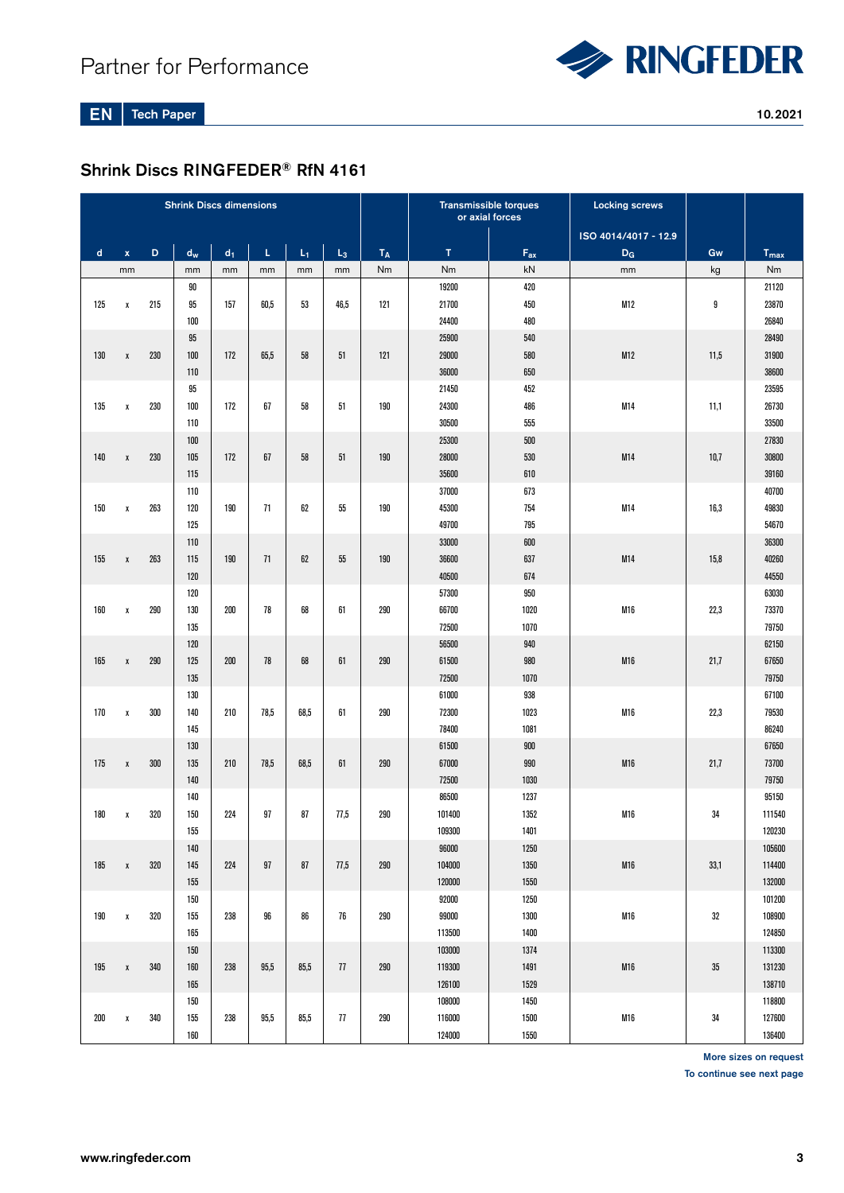

EN Tech Paper 10.2021

# Shrink Discs RINGFEDER® RfN 4161

| <b>Shrink Discs dimensions</b> |              |     |       |                |      |       |       |       | <b>Transmissible torques</b><br>or axial forces |                            | <b>Locking screws</b> |      |                  |
|--------------------------------|--------------|-----|-------|----------------|------|-------|-------|-------|-------------------------------------------------|----------------------------|-----------------------|------|------------------|
|                                |              |     |       |                |      |       |       |       |                                                 |                            | ISO 4014/4017 - 12.9  |      |                  |
| $\mathsf{d}$                   | $\mathbf x$  | D   | $d_w$ | d <sub>1</sub> | L    | $L_1$ | $L_3$ | $T_A$ | $\mathsf{T}$                                    | $\mathsf{F}_{\mathsf{ax}}$ | $D_G$                 | Gw   | $T_{\text{max}}$ |
|                                | mm           |     | mm    | mm             | mm   | mm    | mm    | Nm    | Nm                                              | kN                         | mm                    | kg   | Nm               |
|                                |              |     | 90    |                |      |       |       |       | 19200                                           | 420                        |                       |      | 21120            |
| 125                            | χ            | 215 | 95    | 157            | 60,5 | 53    | 46,5  | 121   | 21700                                           | 450                        | M12                   | 9    | 23870            |
|                                |              |     | 100   |                |      |       |       |       | 24400                                           | 480                        |                       |      | 26840            |
|                                |              |     | 95    |                |      |       |       |       | 25900                                           | 540                        |                       |      | 28490            |
| 130                            | $\pmb{\chi}$ | 230 | 100   | 172            | 65,5 | 58    | 51    | 121   | 29000                                           | 580                        | M12                   | 11,5 | 31900            |
|                                |              |     | 110   |                |      |       |       |       | 36000                                           | 650                        |                       |      | 38600            |
|                                |              |     | 95    |                |      |       |       |       | 21450                                           | 452                        |                       |      | 23595            |
| 135                            | $\pmb{\chi}$ | 230 | 100   | 172            | 67   | 58    | 51    | 190   | 24300                                           | 486                        | M14                   | 11,1 | 26730            |
|                                |              |     | 110   |                |      |       |       |       | 30500                                           | 555                        |                       |      | 33500            |
|                                |              |     | 100   |                |      |       |       |       | 25300                                           | 500                        |                       |      | 27830            |
| 140                            | $\pmb{\chi}$ | 230 | 105   | 172            | 67   | 58    | 51    | 190   | 28000                                           | 530                        | M14                   | 10,7 | 30800            |
|                                |              |     | 115   |                |      |       |       |       | 35600                                           | 610                        |                       |      | 39160            |
|                                |              |     | 110   |                |      |       |       |       | 37000                                           | 673                        |                       |      | 40700            |
| 150                            | $\pmb{\chi}$ | 263 | 120   | 190            | 71   | 62    | 55    | 190   | 45300                                           | 754                        | M14                   | 16,3 | 49830            |
|                                |              |     | 125   |                |      |       |       |       | 49700                                           | 795                        |                       |      | 54670            |
|                                |              |     | 110   |                |      |       |       |       | 33000                                           | 600                        |                       |      | 36300            |
| 155                            | $\pmb{\chi}$ | 263 | 115   | 190            | 71   | 62    | 55    | 190   | 36600                                           | 637                        | M14                   | 15,8 | 40260            |
|                                |              |     | 120   |                |      |       |       |       | 40500                                           | 674                        |                       |      | 44550            |
|                                |              |     | 120   |                |      |       |       |       | 57300                                           | 950                        |                       |      | 63030            |
| 160                            | $\pmb{\chi}$ | 290 | 130   | 200            | 78   | 68    | 61    | 290   | 66700                                           | 1020                       | M16                   | 22,3 | 73370            |
|                                |              |     | 135   |                |      |       |       |       | 72500                                           | 1070                       |                       |      | 79750            |
|                                |              |     | 120   |                |      |       |       |       | 56500                                           | 940                        |                       |      | 62150            |
| 165                            | $\pmb{\chi}$ | 290 | 125   | 200            | 78   | 68    | 61    | 290   | 61500                                           | 980                        | M16                   | 21,7 | 67650            |
|                                |              |     | 135   |                |      |       |       |       | 72500                                           | 1070                       |                       |      | 79750            |
|                                |              |     | 130   |                |      |       |       |       | 61000                                           | 938                        |                       |      | 67100            |
| 170                            | $\pmb{\chi}$ | 300 | 140   | 210            | 78,5 | 68,5  | 61    | 290   | 72300                                           | 1023                       | M16                   | 22,3 | 79530            |
|                                |              |     | 145   |                |      |       |       |       | 78400                                           | 1081                       |                       |      | 86240            |
|                                |              |     | 130   |                |      |       |       |       | 61500                                           | 900                        |                       |      | 67650            |
| 175                            | $\pmb{\chi}$ | 300 | 135   | 210            | 78,5 | 68,5  | 61    | 290   | 67000                                           | 990                        | M16                   | 21,7 | 73700            |
|                                |              |     | 140   |                |      |       |       |       | 72500                                           | 1030                       |                       |      | 79750            |
|                                |              |     | 140   |                |      |       |       |       | 86500                                           | 1237                       |                       |      | 95150            |
| 180                            | $\pmb{\chi}$ | 320 | 150   | 224            | 97   | 87    | 77,5  | 290   | 101400                                          | 1352                       | M16                   | 34   | 111540           |
|                                |              |     | 155   |                |      |       |       |       | 109300                                          | 1401                       |                       |      | 120230           |
|                                |              |     | 140   |                |      |       |       |       | 96000                                           | 1250                       |                       |      | 105600           |
| 185                            | $\pmb{\chi}$ | 320 | 145   | 224            | 97   | 87    | 77,5  | 290   | 104000                                          | 1350                       | M16                   | 33,1 | 114400           |
|                                |              |     | 155   |                |      |       |       |       | 120000                                          | 1550                       |                       |      | 132000           |
|                                |              |     | 150   |                |      |       |       |       | 92000                                           | 1250                       |                       |      | 101200           |
| 190                            | $\pmb{\chi}$ | 320 | 155   | 238            | 96   | 86    | 76    | 290   | 99000                                           | 1300                       | M16                   | 32   | 108900           |
|                                |              |     | 165   |                |      |       |       |       | 113500                                          | 1400                       |                       |      | 124850           |
|                                |              |     | 150   |                |      |       |       |       | 103000                                          | 1374                       |                       |      | 113300           |
| 195                            | $\pmb{\chi}$ | 340 | 160   | 238            | 95,5 | 85,5  | 77    | 290   | 119300                                          | 1491                       | M16                   | 35   | 131230           |
|                                |              |     | 165   |                |      |       |       |       | 126100                                          | 1529                       |                       |      | 138710           |
|                                |              |     | 150   |                |      |       |       |       | 108000                                          | 1450                       |                       |      | 118800           |
| 200                            | χ            | 340 | 155   | 238            | 95,5 | 85,5  | 77    | 290   | 116000                                          | 1500                       | M16                   | 34   | 127600           |
|                                |              |     | 160   |                |      |       |       |       | 124000                                          | 1550                       |                       |      | 136400           |

More sizes on request

To continue see next page